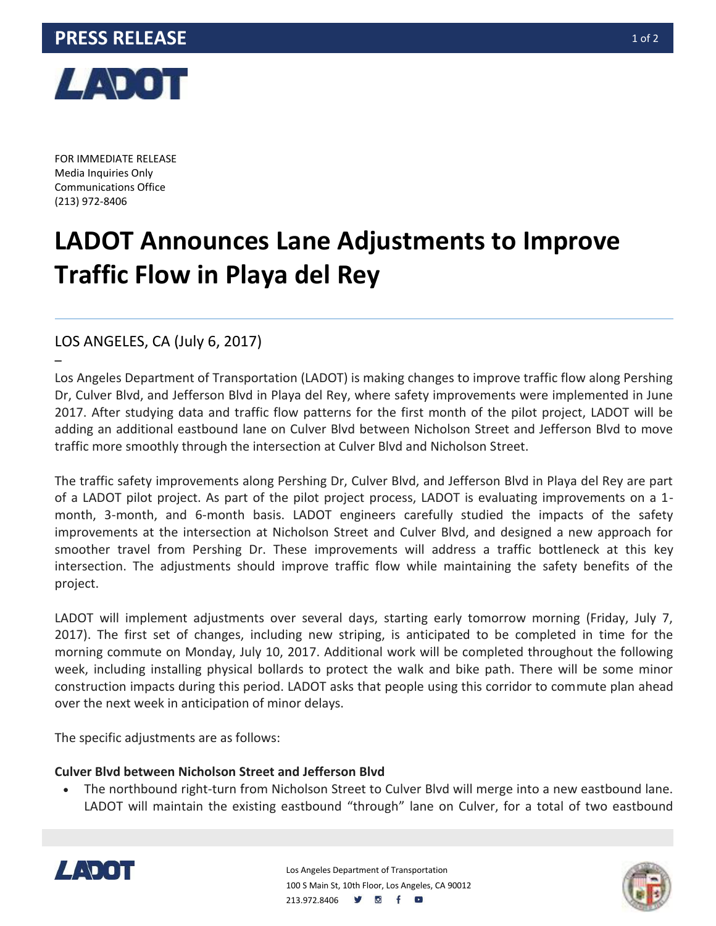

FOR IMMEDIATE RELEASE Media Inquiries Only Communications Office (213) 972-8406

–

## **LADOT Announces Lane Adjustments to Improve Traffic Flow in Playa del Rey**

LOS ANGELES, CA (July 6, 2017)

Los Angeles Department of Transportation (LADOT) is making changes to improve traffic flow along Pershing Dr, Culver Blvd, and Jefferson Blvd in Playa del Rey, where safety improvements were implemented in June 2017. After studying data and traffic flow patterns for the first month of the pilot project, LADOT will be adding an additional eastbound lane on Culver Blvd between Nicholson Street and Jefferson Blvd to move traffic more smoothly through the intersection at Culver Blvd and Nicholson Street.

The traffic safety improvements along Pershing Dr, Culver Blvd, and Jefferson Blvd in Playa del Rey are part of a LADOT pilot project. As part of the pilot project process, LADOT is evaluating improvements on a 1 month, 3-month, and 6-month basis. LADOT engineers carefully studied the impacts of the safety improvements at the intersection at Nicholson Street and Culver Blvd, and designed a new approach for smoother travel from Pershing Dr. These improvements will address a traffic bottleneck at this key intersection. The adjustments should improve traffic flow while maintaining the safety benefits of the project.

LADOT will implement adjustments over several days, starting early tomorrow morning (Friday, July 7, 2017). The first set of changes, including new striping, is anticipated to be completed in time for the morning commute on Monday, July 10, 2017. Additional work will be completed throughout the following week, including installing physical bollards to protect the walk and bike path. There will be some minor construction impacts during this period. LADOT asks that people using this corridor to commute plan ahead over the next week in anticipation of minor delays.

The specific adjustments are as follows:

## **Culver Blvd between Nicholson Street and Jefferson Blvd**

 The northbound right-turn from Nicholson Street to Culver Blvd will merge into a new eastbound lane. LADOT will maintain the existing eastbound "through" lane on Culver, for a total of two eastbound



Los Angeles Department of Transportation 100 S Main St, 10th Floor, Los Angeles, CA 90012 213.972.8406 **9 8 f 8**